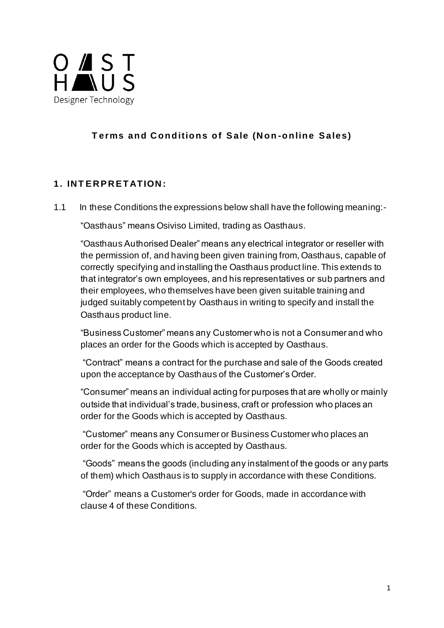

# **T erms and C onditions of S ale (N on -online S ales)**

#### **1. IN T E R P R E TATION :**

1.1 In these Conditions the expressions below shall have the following meaning:-

"Oasthaus" means Osiviso Limited, trading as Oasthaus.

"Oasthaus Authorised Dealer" means any electrical integrator or reseller with the permission of, and having been given training from, Oasthaus, capable of correctly specifying and installing the Oasthaus product line. This extends to that integrator's own employees, and his representatives or sub partners and their employees, who themselves have been given suitable training and judged suitably competent by Oasthaus in writing to specify and install the Oasthaus product line.

"Business Customer" means any Customer who is not a Consumer and who places an order for the Goods which is accepted by Oasthaus.

"Contract" means a contract for the purchase and sale of the Goods created upon the acceptance by Oasthaus of the Customer's Order.

"Consumer" means an individual acting for purposes that are wholly or mainly outside that individual's trade, business, craft or profession who places an order for the Goods which is accepted by Oasthaus.

"Customer" means any Consumer or Business Customer who places an order for the Goods which is accepted by Oasthaus.

"Goods" means the goods (including any instalment of the goods or any parts of them) which Oasthaus is to supply in accordance with these Conditions.

"Order" means a Customer's order for Goods, made in accordance with clause 4 of these Conditions.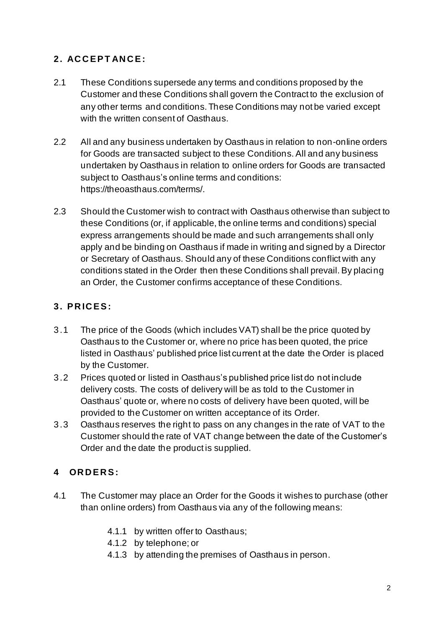# **2. AC C E P T AN C E :**

- 2.1 These Conditions supersede any terms and conditions proposed by the Customer and these Conditions shall govern the Contract to the exclusion of any other terms and conditions. These Conditions may not be varied except with the written consent of Oasthaus.
- 2.2 All and any business undertaken by Oasthaus in relation to non-online orders for Goods are transacted subject to these Conditions. All and any business undertaken by Oasthaus in relation to online orders for Goods are transacted subject to Oasthaus's online terms and conditions: https://theoasthaus.com/terms/.
- 2.3 Should the Customer wish to contract with Oasthaus otherwise than subject to these Conditions (or, if applicable, the online terms and conditions) special express arrangements should be made and such arrangements shall only apply and be binding on Oasthaus if made in writing and signed by a Director or Secretary of Oasthaus. Should any of these Conditions conflict with any conditions stated in the Order then these Conditions shall prevail. By placing an Order, the Customer confirms acceptance of these Conditions.

# **3. P R IC E S :**

- 3.1 The price of the Goods (which includes VAT) shall be the price quoted by Oasthaus to the Customer or, where no price has been quoted, the price listed in Oasthaus' published price list current at the date the Order is placed by the Customer.
- 3.2 Prices quoted or listed in Oasthaus's published price list do not include delivery costs. The costs of delivery will be as told to the Customer in Oasthaus' quote or, where no costs of delivery have been quoted, will be provided to the Customer on written acceptance of its Order.
- 3.3 Oasthaus reserves the right to pass on any changes in the rate of VAT to the Customer should the rate of VAT change between the date of the Customer's Order and the date the product is supplied.

# **4 OR D E R S :**

- 4.1 The Customer may place an Order for the Goods it wishes to purchase (other than online orders) from Oasthaus via any of the following means:
	- 4.1.1 by written offer to Oasthaus;
	- 4.1.2 by telephone; or
	- 4.1.3 by attending the premises of Oasthaus in person.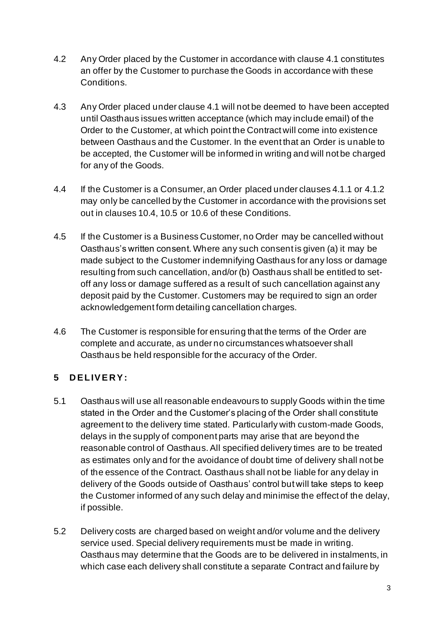- 4.2 Any Order placed by the Customer in accordance with clause 4.1 constitutes an offer by the Customer to purchase the Goods in accordance with these Conditions.
- 4.3 Any Order placed under clause 4.1 will not be deemed to have been accepted until Oasthaus issues written acceptance (which may include email) of the Order to the Customer, at which point the Contract will come into existence between Oasthaus and the Customer. In the event that an Order is unable to be accepted, the Customer will be informed in writing and will not be charged for any of the Goods.
- 4.4 If the Customer is a Consumer, an Order placed under clauses 4.1.1 or 4.1.2 may only be cancelled by the Customer in accordance with the provisions set out in clauses 10.4, 10.5 or 10.6 of these Conditions.
- 4.5 If the Customer is a Business Customer, no Order may be cancelled without Oasthaus's written consent. Where any such consent is given (a) it may be made subject to the Customer indemnifying Oasthaus for any loss or damage resulting from such cancellation, and/or (b) Oasthaus shall be entitled to setoff any loss or damage suffered as a result of such cancellation against any deposit paid by the Customer. Customers may be required to sign an order acknowledgement form detailing cancellation charges.
- 4.6 The Customer is responsible for ensuring that the terms of the Order are complete and accurate, as under no circumstances whatsoever shall Oasthaus be held responsible for the accuracy of the Order.

# **5 D E LIV E R Y :**

- 5.1 Oasthaus will use all reasonable endeavours to supply Goods within the time stated in the Order and the Customer's placing of the Order shall constitute agreement to the delivery time stated. Particularly with custom-made Goods, delays in the supply of component parts may arise that are beyond the reasonable control of Oasthaus. All specified delivery times are to be treated as estimates only and for the avoidance of doubt time of delivery shall not be of the essence of the Contract. Oasthaus shall not be liable for any delay in delivery of the Goods outside of Oasthaus' control but will take steps to keep the Customer informed of any such delay and minimise the effect of the delay, if possible.
- 5.2 Delivery costs are charged based on weight and/or volume and the delivery service used. Special delivery requirements must be made in writing. Oasthaus may determine that the Goods are to be delivered in instalments, in which case each delivery shall constitute a separate Contract and failure by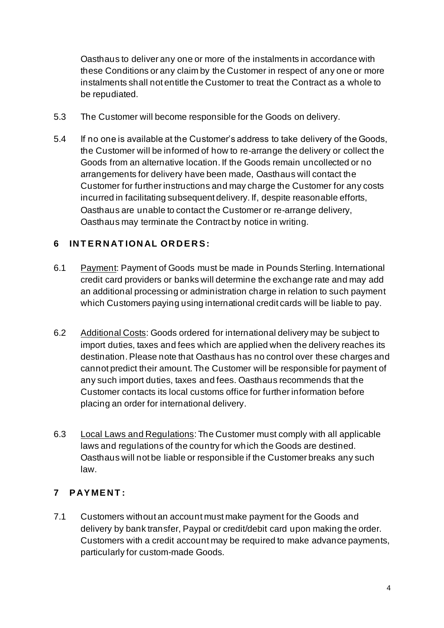Oasthaus to deliver any one or more of the instalments in accordance with these Conditions or any claim by the Customer in respect of any one or more instalments shall not entitle the Customer to treat the Contract as a whole to be repudiated.

- 5.3 The Customer will become responsible for the Goods on delivery.
- 5.4 If no one is available at the Customer's address to take delivery of the Goods, the Customer will be informed of how to re-arrange the delivery or collect the Goods from an alternative location. If the Goods remain uncollected or no arrangements for delivery have been made, Oasthaus will contact the Customer for further instructions and may charge the Customer for any costs incurred in facilitating subsequent delivery. If, despite reasonable efforts, Oasthaus are unable to contact the Customer or re-arrange delivery, Oasthaus may terminate the Contract by notice in writing.

### **6 IN T E R N AT ION AL OR D E R S:**

- 6.1 Payment: Payment of Goods must be made in Pounds Sterling. International credit card providers or banks will determine the exchange rate and may add an additional processing or administration charge in relation to such payment which Customers paying using international credit cards will be liable to pay.
- 6.2 Additional Costs: Goods ordered for international delivery may be subject to import duties, taxes and fees which are applied when the delivery reaches its destination. Please note that Oasthaus has no control over these charges and cannot predict their amount. The Customer will be responsible for payment of any such import duties, taxes and fees. Oasthaus recommends that the Customer contacts its local customs office for further information before placing an order for international delivery.
- 6.3 Local Laws and Regulations: The Customer must comply with all applicable laws and regulations of the country for which the Goods are destined. Oasthaus will not be liable or responsible if the Customer breaks any such law.

# **7 P AY ME N T :**

7.1 Customers without an account must make payment for the Goods and delivery by bank transfer, Paypal or credit/debit card upon making the order. Customers with a credit account may be required to make advance payments, particularly for custom-made Goods.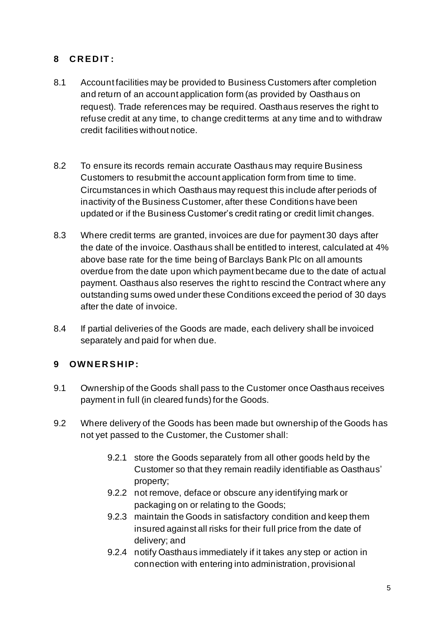#### **8 C R E D IT :**

- 8.1 Account facilities may be provided to Business Customers after completion and return of an account application form (as provided by Oasthaus on request). Trade references may be required. Oasthaus reserves the right to refuse credit at any time, to change credit terms at any time and to withdraw credit facilities without notice.
- 8.2 To ensure its records remain accurate Oasthaus may require Business Customers to resubmit the account application form from time to time. Circumstances in which Oasthaus may request this include after periods of inactivity of the Business Customer, after these Conditions have been updated or if the Business Customer's credit rating or credit limit changes.
- 8.3 Where credit terms are granted, invoices are due for payment 30 days after the date of the invoice. Oasthaus shall be entitled to interest, calculated at 4% above base rate for the time being of Barclays Bank Plc on all amounts overdue from the date upon which payment became due to the date of actual payment. Oasthaus also reserves the right to rescind the Contract where any outstanding sums owed under these Conditions exceed the period of 30 days after the date of invoice.
- 8.4 If partial deliveries of the Goods are made, each delivery shall be invoiced separately and paid for when due.

# **9 OWN E R S H IP :**

- 9.1 Ownership of the Goods shall pass to the Customer once Oasthaus receives payment in full (in cleared funds) for the Goods.
- 9.2 Where delivery of the Goods has been made but ownership of the Goods has not yet passed to the Customer, the Customer shall:
	- 9.2.1 store the Goods separately from all other goods held by the Customer so that they remain readily identifiable as Oasthaus' property;
	- 9.2.2 not remove, deface or obscure any identifying mark or packaging on or relating to the Goods;
	- 9.2.3 maintain the Goods in satisfactory condition and keep them insured against all risks for their full price from the date of delivery; and
	- 9.2.4 notify Oasthaus immediately if it takes any step or action in connection with entering into administration, provisional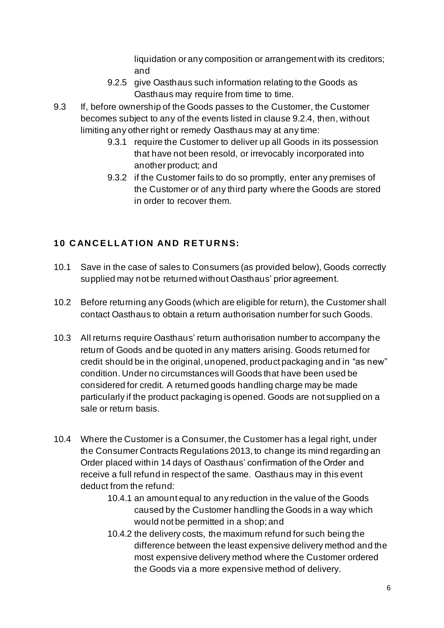liquidation or any composition or arrangement with its creditors; and

- 9.2.5 give Oasthaus such information relating to the Goods as Oasthaus may require from time to time.
- 9.3 If, before ownership of the Goods passes to the Customer, the Customer becomes subject to any of the events listed in clause 9.2.4, then, without limiting any other right or remedy Oasthaus may at any time:
	- 9.3.1 require the Customer to deliver up all Goods in its possession that have not been resold, or irrevocably incorporated into another product; and
	- 9.3.2 if the Customer fails to do so promptly, enter any premises of the Customer or of any third party where the Goods are stored in order to recover them.

# **10 CANCELLATION AND RETURNS:**

- 10.1 Save in the case of sales to Consumers (as provided below), Goods correctly supplied may not be returned without Oasthaus' prior agreement.
- 10.2 Before returning any Goods (which are eligible for return), the Customer shall contact Oasthaus to obtain a return authorisation number for such Goods.
- 10.3 All returns require Oasthaus' return authorisation number to accompany the return of Goods and be quoted in any matters arising. Goods returned for credit should be in the original, unopened, product packaging and in "as new" condition. Under no circumstances will Goods that have been used be considered for credit. A returned goods handling charge may be made particularly if the product packaging is opened. Goods are not supplied on a sale or return basis.
- 10.4 Where the Customer is a Consumer, the Customer has a legal right, under the Consumer Contracts Regulations 2013, to change its mind regarding an Order placed within 14 days of Oasthaus' confirmation of the Order and receive a full refund in respect of the same. Oasthaus may in this event deduct from the refund:
	- 10.4.1 an amount equal to any reduction in the value of the Goods caused by the Customer handling the Goods in a way which would not be permitted in a shop; and
	- 10.4.2 the delivery costs, the maximum refund for such being the difference between the least expensive delivery method and the most expensive delivery method where the Customer ordered the Goods via a more expensive method of delivery.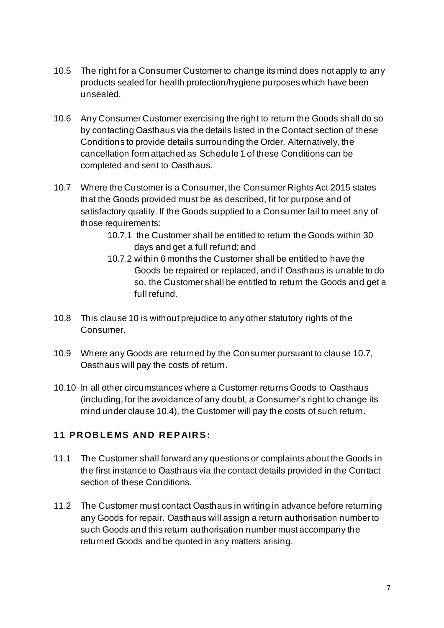- 10.5 The right for a Consumer Customer to change its mind does not apply to any products sealed for health protection/hygiene purposes which have been unsealed.
- 10.6 Any Consumer Customer exercising the right to return the Goods shall do so by contacting Oasthaus via the details listed in the Contact section of these Conditions to provide details surrounding the Order. Alternatively, the cancellation form attached as Schedule 1 of these Conditions can be completed and sent to Oasthaus.
- 10.7 Where the Customer is a Consumer, the Consumer Rights Act 2015 states that the Goods provided must be as described, fit for purpose and of satisfactory quality. If the Goods supplied to a Consumer fail to meet any of those requirements:
	- 10.7.1 the Customer shall be entitled to return the Goods within 30 days and get a full refund; and
	- 10.7.2 within 6 months the Customer shall be entitled to have the Goods be repaired or replaced, and if Oasthaus is unable to do so, the Customer shall be entitled to return the Goods and get a full refund.
- 10.8 This clause 10 is without prejudice to any other statutory rights of the Consumer.
- 10.9 Where any Goods are returned by the Consumer pursuant to clause 10.7, Oasthaus will pay the costs of return.
- 10.10 In all other circumstances where a Customer returns Goods to Oasthaus (including, for the avoidance of any doubt, a Consumer's right to change its mind under clause 10.4), the Customer will pay the costs of such return.

#### **11 PROBLEMS AND REPAIRS:**

- 11.1 The Customer shall forward any questions or complaints about the Goods in the first instance to Oasthaus via the contact details provided in the Contact section of these Conditions.
- 11.2 The Customer must contact Oasthaus in writing in advance before returning any Goods for repair. Oasthaus will assign a return authorisation number to such Goods and this return authorisation number must accompany the returned Goods and be quoted in any matters arising.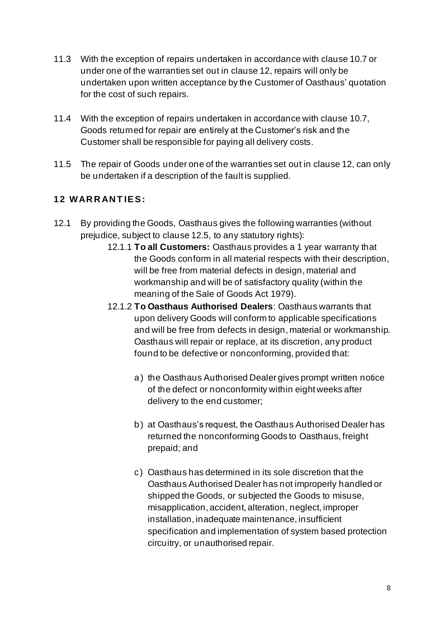- 11.3 With the exception of repairs undertaken in accordance with clause 10.7 or under one of the warranties set out in clause 12, repairs will only be undertaken upon written acceptance by the Customer of Oasthaus' quotation for the cost of such repairs.
- 11.4 With the exception of repairs undertaken in accordance with clause 10.7, Goods returned for repair are entirely at the Customer's risk and the Customer shall be responsible for paying all delivery costs.
- 11.5 The repair of Goods under one of the warranties set out in clause 12, can only be undertaken if a description of the fault is supplied.

# **12 WAR R AN T IE S :**

- 12.1 By providing the Goods, Oasthaus gives the following warranties (without prejudice, subject to clause 12.5, to any statutory rights):
	- 12.1.1 **To all Customers:** Oasthaus provides a 1 year warranty that the Goods conform in all material respects with their description, will be free from material defects in design, material and workmanship and will be of satisfactory quality (within the meaning of the Sale of Goods Act 1979).
	- 12.1.2 **To Oasthaus Authorised Dealers**: Oasthaus warrants that upon delivery Goods will conform to applicable specifications and will be free from defects in design, material or workmanship. Oasthaus will repair or replace, at its discretion, any product found to be defective or nonconforming, provided that:
		- a) the Oasthaus Authorised Dealer gives prompt written notice of the defect or nonconformity within eight weeks after delivery to the end customer;
		- b) at Oasthaus's request, the Oasthaus Authorised Dealer has returned the nonconforming Goods to Oasthaus, freight prepaid; and
		- c) Oasthaus has determined in its sole discretion that the Oasthaus Authorised Dealer has not improperly handled or shipped the Goods, or subjected the Goods to misuse, misapplication, accident, alteration, neglect, improper installation, inadequate maintenance, insufficient specification and implementation of system based protection circuitry, or unauthorised repair.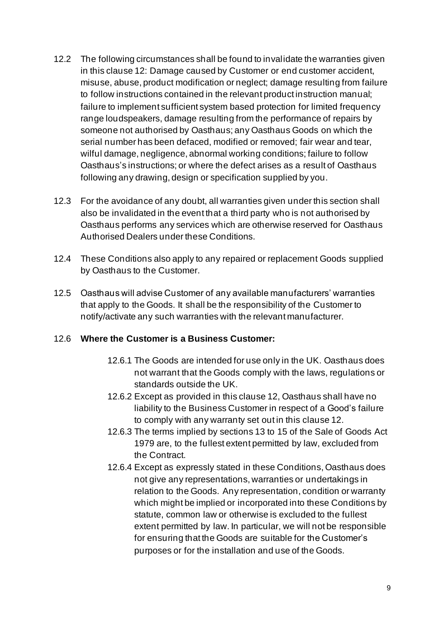- 12.2 The following circumstances shall be found to invalidate the warranties given in this clause 12: Damage caused by Customer or end customer accident, misuse, abuse, product modification or neglect; damage resulting from failure to follow instructions contained in the relevant product instruction manual; failure to implement sufficient system based protection for limited frequency range loudspeakers, damage resulting from the performance of repairs by someone not authorised by Oasthaus; any Oasthaus Goods on which the serial number has been defaced, modified or removed; fair wear and tear, wilful damage, negligence, abnormal working conditions; failure to follow Oasthaus's instructions; or where the defect arises as a result of Oasthaus following any drawing, design or specification supplied by you.
- 12.3 For the avoidance of any doubt, all warranties given under this section shall also be invalidated in the event that a third party who is not authorised by Oasthaus performs any services which are otherwise reserved for Oasthaus Authorised Dealers under these Conditions.
- 12.4 These Conditions also apply to any repaired or replacement Goods supplied by Oasthaus to the Customer.
- 12.5 Oasthaus will advise Customer of any available manufacturers' warranties that apply to the Goods. It shall be the responsibility of the Customer to notify/activate any such warranties with the relevant manufacturer.

#### 12.6 **Where the Customer is a Business Customer:**

- 12.6.1 The Goods are intended for use only in the UK. Oasthaus does not warrant that the Goods comply with the laws, regulations or standards outside the UK.
- 12.6.2 Except as provided in this clause 12, Oasthaus shall have no liability to the Business Customer in respect of a Good's failure to comply with any warranty set out in this clause 12.
- 12.6.3 The terms implied by sections 13 to 15 of the Sale of Goods Act 1979 are, to the fullest extent permitted by law, excluded from the Contract.
- 12.6.4 Except as expressly stated in these Conditions, Oasthaus does not give any representations, warranties or undertakings in relation to the Goods. Any representation, condition or warranty which might be implied or incorporated into these Conditions by statute, common law or otherwise is excluded to the fullest extent permitted by law. In particular, we will not be responsible for ensuring that the Goods are suitable for the Customer's purposes or for the installation and use of the Goods.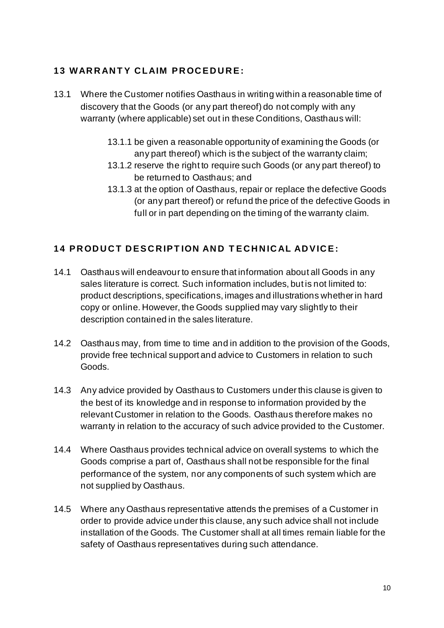### **13 WARRANTY CLAIM PROCEDURE:**

- 13.1 Where the Customer notifies Oasthaus in writing within a reasonable time of discovery that the Goods (or any part thereof) do not comply with any warranty (where applicable) set out in these Conditions, Oasthaus will:
	- 13.1.1 be given a reasonable opportunity of examining the Goods (or any part thereof) which is the subject of the warranty claim;
	- 13.1.2 reserve the right to require such Goods (or any part thereof) to be returned to Oasthaus; and
	- 13.1.3 at the option of Oasthaus, repair or replace the defective Goods (or any part thereof) or refund the price of the defective Goods in full or in part depending on the timing of the warranty claim.

# **14 P R OD U C T D E S C R IP T ION AN D T E C H N IC AL AD V IC E:**

- 14.1 Oasthaus will endeavour to ensure that information about all Goods in any sales literature is correct. Such information includes, but is not limited to: product descriptions, specifications, images and illustrations whether in hard copy or online. However, the Goods supplied may vary slightly to their description contained in the sales literature.
- 14.2 Oasthaus may, from time to time and in addition to the provision of the Goods, provide free technical support and advice to Customers in relation to such Goods.
- 14.3 Any advice provided by Oasthaus to Customers under this clause is given to the best of its knowledge and in response to information provided by the relevant Customer in relation to the Goods. Oasthaus therefore makes no warranty in relation to the accuracy of such advice provided to the Customer.
- 14.4 Where Oasthaus provides technical advice on overall systems to which the Goods comprise a part of, Oasthaus shall not be responsible for the final performance of the system, nor any components of such system which are not supplied by Oasthaus.
- 14.5 Where any Oasthaus representative attends the premises of a Customer in order to provide advice under this clause, any such advice shall not include installation of the Goods. The Customer shall at all times remain liable for the safety of Oasthaus representatives during such attendance.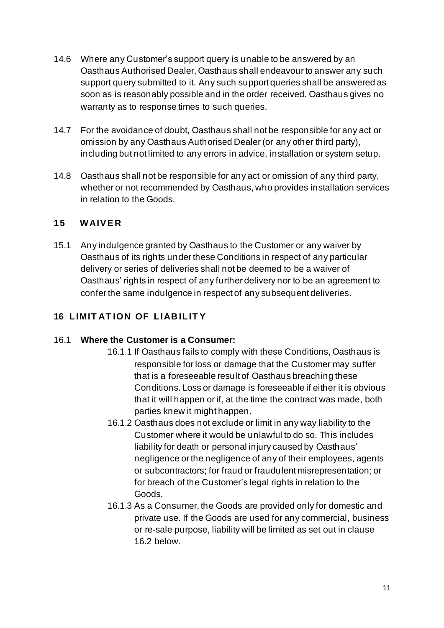- 14.6 Where any Customer's support query is unable to be answered by an Oasthaus Authorised Dealer, Oasthaus shall endeavour to answer any such support query submitted to it. Any such support queries shall be answered as soon as is reasonably possible and in the order received. Oasthaus gives no warranty as to response times to such queries.
- 14.7 For the avoidance of doubt, Oasthaus shall not be responsible for any act or omission by any Oasthaus Authorised Dealer (or any other third party), including but not limited to any errors in advice, installation or system setup.
- 14.8 Oasthaus shall not be responsible for any act or omission of any third party, whether or not recommended by Oasthaus, who provides installation services in relation to the Goods.

#### **15 WAIV E R**

15.1 Any indulgence granted by Oasthaus to the Customer or any waiver by Oasthaus of its rights under these Conditions in respect of any particular delivery or series of deliveries shall not be deemed to be a waiver of Oasthaus' rights in respect of any further delivery nor to be an agreement to confer the same indulgence in respect of any subsequent deliveries.

### **16 LIMIT AT ION OF LIAB ILIT Y**

#### 16.1 **Where the Customer is a Consumer:**

- 16.1.1 If Oasthaus fails to comply with these Conditions, Oasthaus is responsible for loss or damage that the Customer may suffer that is a foreseeable result of Oasthaus breaching these Conditions. Loss or damage is foreseeable if either it is obvious that it will happen or if, at the time the contract was made, both parties knew it might happen.
- 16.1.2 Oasthaus does not exclude or limit in any way liability to the Customer where it would be unlawful to do so. This includes liability for death or personal injury caused by Oasthaus' negligence or the negligence of any of their employees, agents or subcontractors; for fraud or fraudulent misrepresentation; or for breach of the Customer's legal rights in relation to the Goods.
- 16.1.3 As a Consumer, the Goods are provided only for domestic and private use. If the Goods are used for any commercial, business or re-sale purpose, liability will be limited as set out in clause 16.2 below.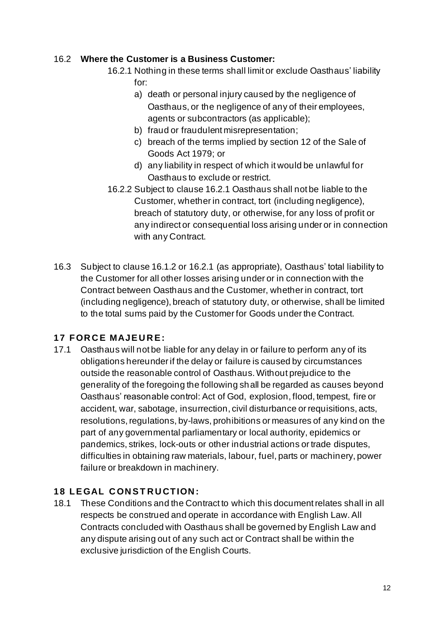#### 16.2 **Where the Customer is a Business Customer:**

- 16.2.1 Nothing in these terms shall limit or exclude Oasthaus' liability for:
	- a) death or personal injury caused by the negligence of Oasthaus, or the negligence of any of their employees, agents or subcontractors (as applicable);
	- b) fraud or fraudulent misrepresentation;
	- c) breach of the terms implied by section 12 of the Sale of Goods Act 1979; or
	- d) any liability in respect of which it would be unlawful for Oasthaus to exclude or restrict.
- 16.2.2 Subject to clause 16.2.1 Oasthaus shall not be liable to the Customer, whether in contract, tort (including negligence), breach of statutory duty, or otherwise, for any loss of profit or any indirect or consequential loss arising under or in connection with any Contract.
- 16.3 Subject to clause 16.1.2 or 16.2.1 (as appropriate), Oasthaus' total liability to the Customer for all other losses arising under or in connection with the Contract between Oasthaus and the Customer, whether in contract, tort (including negligence), breach of statutory duty, or otherwise, shall be limited to the total sums paid by the Customer for Goods under the Contract.

#### **17 FOR C E MAJE U R E :**

17.1 Oasthaus will not be liable for any delay in or failure to perform any of its obligations hereunder if the delay or failure is caused by circumstances outside the reasonable control of Oasthaus. Without prejudice to the generality of the foregoing the following shall be regarded as causes beyond Oasthaus' reasonable control: Act of God, explosion, flood, tempest, fire or accident, war, sabotage, insurrection, civil disturbance or requisitions, acts, resolutions, regulations, by-laws, prohibitions or measures of any kind on the part of any governmental parliamentary or local authority, epidemics or pandemics, strikes, lock-outs or other industrial actions or trade disputes, difficulties in obtaining raw materials, labour, fuel, parts or machinery, power failure or breakdown in machinery.

#### **18 LEGAL CONSTRUCTION:**

18.1 These Conditions and the Contract to which this document relates shall in all respects be construed and operate in accordance with English Law. All Contracts concluded with Oasthaus shall be governed by English Law and any dispute arising out of any such act or Contract shall be within the exclusive jurisdiction of the English Courts.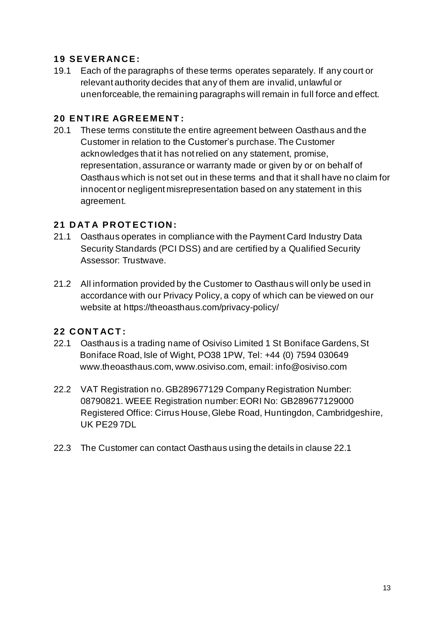#### **19 S E V E R AN C E :**

19.1 Each of the paragraphs of these terms operates separately. If any court or relevant authority decides that any of them are invalid, unlawful or unenforceable, the remaining paragraphs will remain in full force and effect.

#### **20 ENTIRE AGREEMENT:**

20.1 These terms constitute the entire agreement between Oasthaus and the Customer in relation to the Customer's purchase. The Customer acknowledges that it has not relied on any statement, promise, representation, assurance or warranty made or given by or on behalf of Oasthaus which is not set out in these terms and that it shall have no claim for innocent or negligent misrepresentation based on any statement in this agreement.

#### **21 D AT A P R OT E C TION :**

- 21.1 Oasthaus operates in compliance with the Payment Card Industry Data Security Standards (PCI DSS) and are certified by a Qualified Security Assessor: Trustwave.
- 21.2 All information provided by the Customer to Oasthaus will only be used in accordance with our Privacy Policy, a copy of which can be viewed on our website at https://theoasthaus.com/privacy-policy/

#### **22 C ON T AC T :**

- 22.1 Oasthaus is a trading name of Osiviso Limited 1 St Boniface Gardens, St Boniface Road, Isle of Wight, PO38 1PW, Tel: +44 (0) 7594 030649 www.theoasthaus.com, www.osiviso.com, email: info@osiviso.com
- 22.2 VAT Registration no. GB289677129 Company Registration Number: 08790821. WEEE Registration number: EORI No: GB289677129000 Registered Office: Cirrus House, Glebe Road, Huntingdon, Cambridgeshire, UK PE29 7DL
- 22.3 The Customer can contact Oasthaus using the details in clause 22.1